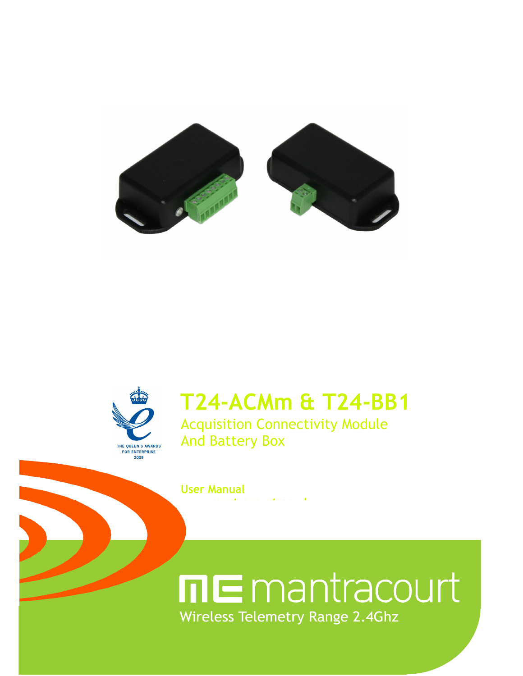



## **T24-ACMm & T24-BB1**

Acquisition Connectivity Module And Battery Box

**User Manual** 

**www.mantracourt.co.uk**

mE mantracourt Wireless Telemetry Range 2.4Ghz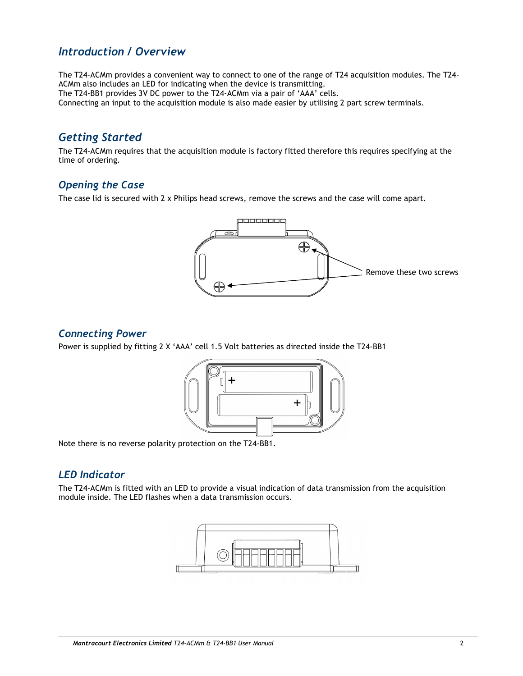## *Introduction / Overview*

The T24-ACMm provides a convenient way to connect to one of the range of T24 acquisition modules. The T24- ACMm also includes an LED for indicating when the device is transmitting. The T24-BB1 provides 3V DC power to the T24-ACMm via a pair of 'AAA' cells. Connecting an input to the acquisition module is also made easier by utilising 2 part screw terminals.

## *Getting Started*

The T24-ACMm requires that the acquisition module is factory fitted therefore this requires specifying at the time of ordering.

#### *Opening the Case*

The case lid is secured with 2 x Philips head screws, remove the screws and the case will come apart.



## *Connecting Power*

Power is supplied by fitting 2 X 'AAA' cell 1.5 Volt batteries as directed inside the T24-BB1



Note there is no reverse polarity protection on the T24-BB1.

## *LED Indicator*

The T24-ACMm is fitted with an LED to provide a visual indication of data transmission from the acquisition module inside. The LED flashes when a data transmission occurs.

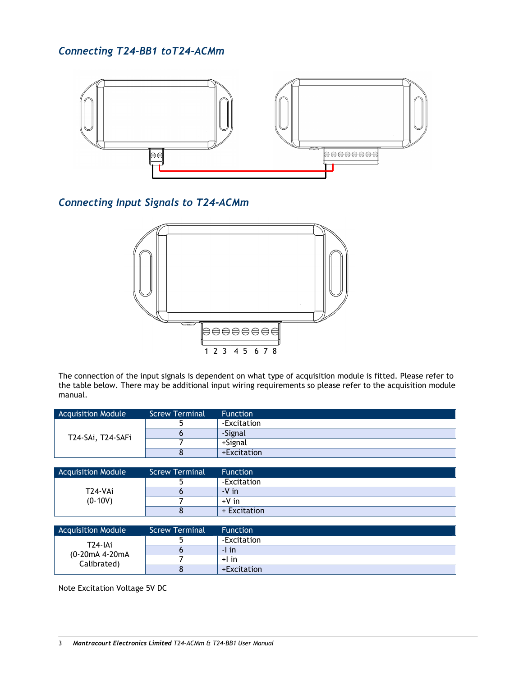*Connecting T24-BB1 toT24-ACMm* 



## *Connecting Input Signals to T24-ACMm*

![](_page_3_Figure_3.jpeg)

The connection of the input signals is dependent on what type of acquisition module is fitted. Please refer to the table below. There may be additional input wiring requirements so please refer to the acquisition module manual.

| <b>Acquisition Module</b> | Screw Terminal | <b>Function</b> |
|---------------------------|----------------|-----------------|
| T24-SAi, T24-SAFi         |                | -Excitation     |
|                           |                | -Signal         |
|                           |                | +Signal         |
|                           |                | +Excitation     |

| <b>Acquisition Module</b> | <b>Screw Terminal</b> | <b>Function</b> |
|---------------------------|-----------------------|-----------------|
|                           |                       | -Excitation     |
| T24-VAi                   |                       | $-V$ in         |
| $(0-10V)$                 |                       | $+V$ in         |
|                           |                       | + Excitation    |

| <b>Acquisition Module</b>                             | <b>Screw Terminal</b> | <b>Function</b> |
|-------------------------------------------------------|-----------------------|-----------------|
| T <sub>24</sub> -IAi<br>(0-20mA 4-20mA<br>Calibrated) |                       | -Excitation     |
|                                                       |                       | $-1$ in         |
|                                                       |                       | $+1$ in         |
|                                                       |                       | +Excitation     |

Note Excitation Voltage 5V DC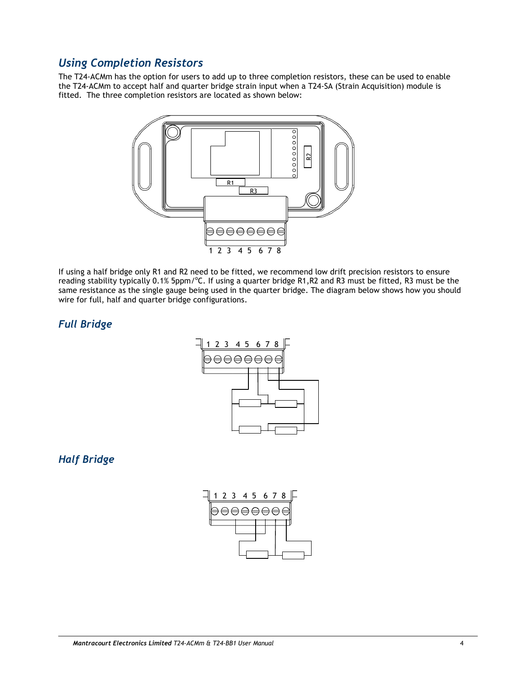## *Using Completion Resistors*

The T24-ACMm has the option for users to add up to three completion resistors, these can be used to enable the T24-ACMm to accept half and quarter bridge strain input when a T24-SA (Strain Acquisition) module is fitted. The three completion resistors are located as shown below:

![](_page_4_Figure_2.jpeg)

If using a half bridge only R1 and R2 need to be fitted, we recommend low drift precision resistors to ensure reading stability typically 0.1% 5ppm/°C. If using a quarter bridge R1,R2 and R3 must be fitted, R3 must be the same resistance as the single gauge being used in the quarter bridge. The diagram below shows how you should wire for full, half and quarter bridge configurations.

## *Full Bridge*

![](_page_4_Figure_5.jpeg)

## *Half Bridge*

![](_page_4_Figure_7.jpeg)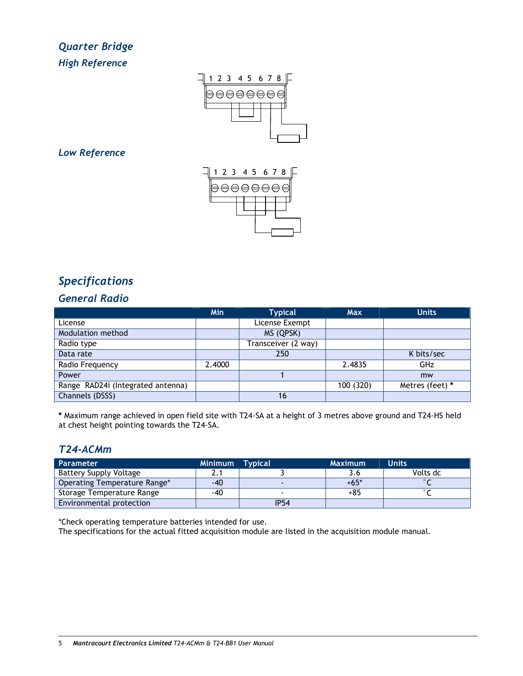## *Quarter Bridge High Reference*

![](_page_5_Figure_1.jpeg)

### *Low Reference*

![](_page_5_Figure_3.jpeg)

## *Specifications*

## *General Radio*

|                                   | Min    | <b>Typical</b>      | <b>Max</b> | <b>Units</b>    |
|-----------------------------------|--------|---------------------|------------|-----------------|
| License                           |        | License Exempt      |            |                 |
| Modulation method                 |        | MS (QPSK)           |            |                 |
| Radio type                        |        | Transceiver (2 way) |            |                 |
| Data rate                         |        | 250                 |            | K bits/sec      |
| Radio Frequency                   | 2.4000 |                     | 2.4835     | <b>GHz</b>      |
| Power                             |        |                     |            | mw              |
| Range RAD24i (Integrated antenna) |        |                     | 100 (320)  | Metres (feet) * |
| Channels (DSSS)                   |        | 16                  |            |                 |

**\*** Maximum range achieved in open field site with T24-SA at a height of 3 metres above ground and T24-HS held at chest height pointing towards the T24-SA.

## *T24-ACMm*

| <b>Parameter</b>              | Minimum Typical |             | <b>Maximum</b> | <b>Units</b> |
|-------------------------------|-----------------|-------------|----------------|--------------|
| <b>Battery Supply Voltage</b> |                 |             |                | Volts dc     |
| Operating Temperature Range*  | $-40$           |             | $+65*$         | $\circ$      |
| Storage Temperature Range     | -40             |             | $+85$          | $^{\circ}$   |
| Environmental protection      |                 | <b>IP54</b> |                |              |

\*Check operating temperature batteries intended for use.

The specifications for the actual fitted acquisition module are listed in the acquisition module manual.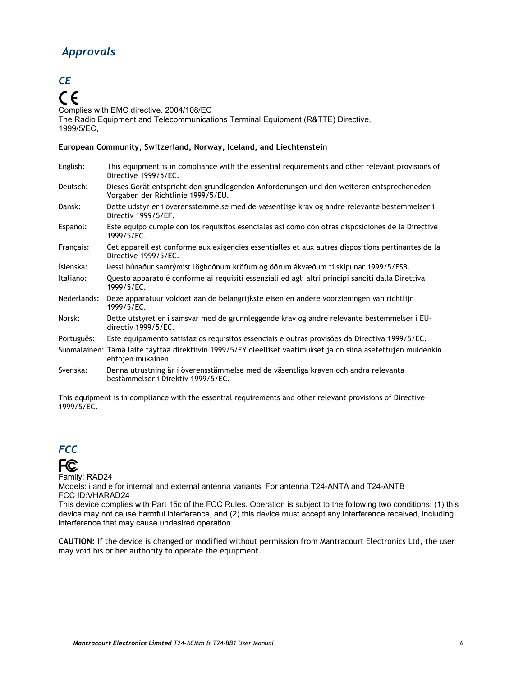## *Approvals*

## *CE*   $\epsilon$

Complies with EMC directive. 2004/108/EC The Radio Equipment and Telecommunications Terminal Equipment (R&TTE) Directive, 1999/5/EC,

#### **European Community, Switzerland, Norway, Iceland, and Liechtenstein**

| English:    | This equipment is in compliance with the essential requirements and other relevant provisions of<br>Directive 1999/5/EC.            |
|-------------|-------------------------------------------------------------------------------------------------------------------------------------|
| Deutsch:    | Dieses Gerät entspricht den grundlegenden Anforderungen und den weiteren entsprecheneden<br>Vorgaben der Richtlinie 1999/5/EU.      |
| Dansk:      | Dette udstyr er i overensstemmelse med de væsentlige krav og andre relevante bestemmelser i<br>Directiv 1999/5/EF.                  |
| Español:    | Este equipo cumple con los requisitos esenciales asi como con otras disposiciones de la Directive<br>1999/5/EC.                     |
| Français:   | Cet appareil est conforme aux exigencies essentialles et aux autres dispositions pertinantes de la<br>Directive 1999/5/EC.          |
| Íslenska:   | Pessi búnaður samrýmist lögboðnum kröfum og öðrum ákvæðum tilskipunar 1999/5/ESB.                                                   |
| Italiano:   | Questo apparato é conforme ai requisiti essenziali ed agli altri principi sanciti dalla Direttiva<br>1999/5/EC.                     |
| Nederlands: | Deze apparatuur voldoet aan de belangrijkste eisen en andere voorzieningen van richtlijn<br>1999/5/EC.                              |
| Norsk:      | Dette utstyret er i samsvar med de grunnleggende krav og andre relevante bestemmelser i EU-<br>directiv 1999/5/EC.                  |
| Português:  | Este equipamento satisfaz os requisitos essenciais e outras provisões da Directiva 1999/5/EC.                                       |
|             | Suomalainen: Tämä laite täyttää direktiivin 1999/5/EY oleelliset vaatimukset ja on siinä asetettujen muidenkin<br>ehtojen mukainen. |
| Svenska:    | Denna utrustning är i överensstämmelse med de väsentliga kraven och andra relevanta<br>bestämmelser i Direktiv 1999/5/EC.           |

This equipment is in compliance with the essential requirements and other relevant provisions of Directive 1999/5/EC.

![](_page_6_Picture_6.jpeg)

**FC** 

Family: RAD24

Models: i and e for internal and external antenna variants. For antenna T24-ANTA and T24-ANTB FCC ID:VHARAD24

This device complies with Part 15c of the FCC Rules. Operation is subject to the following two conditions: (1) this device may not cause harmful interference, and (2) this device must accept any interference received, including interference that may cause undesired operation.

**CAUTION:** If the device is changed or modified without permission from Mantracourt Electronics Ltd, the user may void his or her authority to operate the equipment.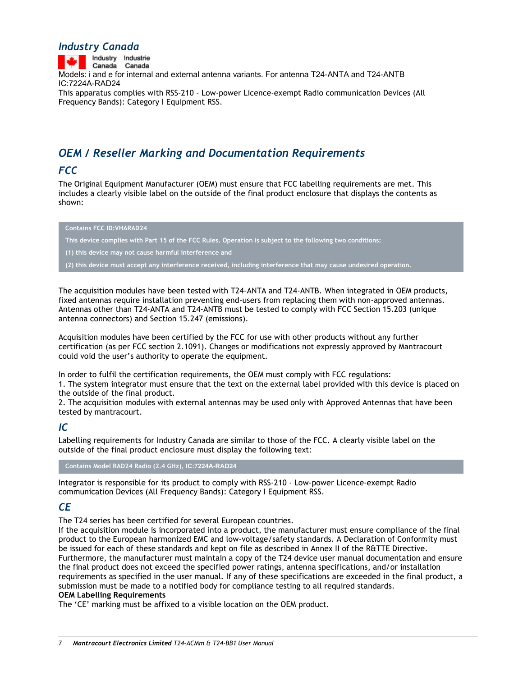## *Industry Canada*

Industry Industrie Canada Canada Models: i and e for internal and external antenna variants. For antenna T24-ANTA and T24-ANTB IC:7224A-RAD24 This apparatus complies with RSS-210 - Low-power Licence-exempt Radio communication Devices (All Frequency Bands): Category I Equipment RSS.

## *OEM / Reseller Marking and Documentation Requirements*

## *FCC*

The Original Equipment Manufacturer (OEM) must ensure that FCC labelling requirements are met. This includes a clearly visible label on the outside of the final product enclosure that displays the contents as shown:

#### **Contains FCC ID:VHARAD24**

**This device complies with Part 15 of the FCC Rules. Operation is subject to the following two conditions:** 

**(1) this device may not cause harmful interference and** 

**(2) this device must accept any interference received, including interference that may cause undesired operation.** 

The acquisition modules have been tested with T24-ANTA and T24-ANTB. When integrated in OEM products, fixed antennas require installation preventing end-users from replacing them with non-approved antennas. Antennas other than T24-ANTA and T24-ANTB must be tested to comply with FCC Section 15.203 (unique antenna connectors) and Section 15.247 (emissions).

Acquisition modules have been certified by the FCC for use with other products without any further certification (as per FCC section 2.1091). Changes or modifications not expressly approved by Mantracourt could void the user's authority to operate the equipment.

In order to fulfil the certification requirements, the OEM must comply with FCC regulations:

1. The system integrator must ensure that the text on the external label provided with this device is placed on the outside of the final product.

2. The acquisition modules with external antennas may be used only with Approved Antennas that have been tested by mantracourt.

#### *IC*

Labelling requirements for Industry Canada are similar to those of the FCC. A clearly visible label on the outside of the final product enclosure must display the following text:

**Contains Model RAD24 Radio (2.4 GHz), IC:7224A-RAD24** 

Integrator is responsible for its product to comply with RSS-210 - Low-power Licence-exempt Radio communication Devices (All Frequency Bands): Category I Equipment RSS.

## *CE*

The T24 series has been certified for several European countries.

If the acquisition module is incorporated into a product, the manufacturer must ensure compliance of the final product to the European harmonized EMC and low-voltage/safety standards. A Declaration of Conformity must be issued for each of these standards and kept on file as described in Annex II of the R&TTE Directive. Furthermore, the manufacturer must maintain a copy of the T24 device user manual documentation and ensure the final product does not exceed the specified power ratings, antenna specifications, and/or installation requirements as specified in the user manual. If any of these specifications are exceeded in the final product, a submission must be made to a notified body for compliance testing to all required standards. **OEM Labelling Requirements** 

The 'CE' marking must be affixed to a visible location on the OEM product.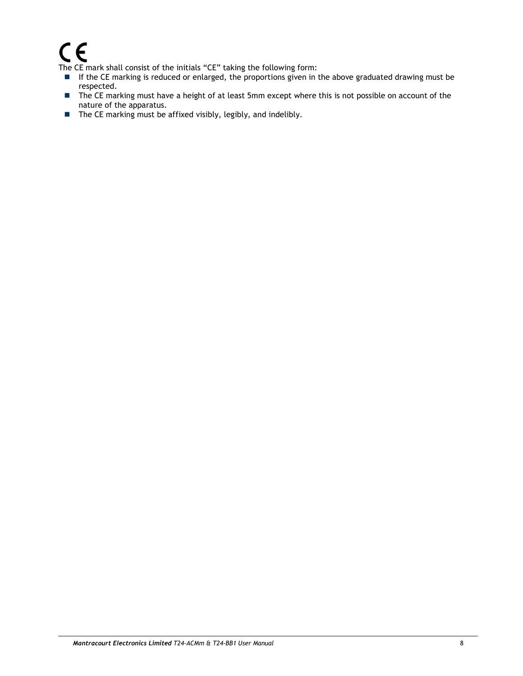# $\boldsymbol{\epsilon}$

The CE mark shall consist of the initials "CE" taking the following form:

- If the CE marking is reduced or enlarged, the proportions given in the above graduated drawing must be respected.
- The CE marking must have a height of at least 5mm except where this is not possible on account of the nature of the apparatus.
- $\blacksquare$  The CE marking must be affixed visibly, legibly, and indelibly.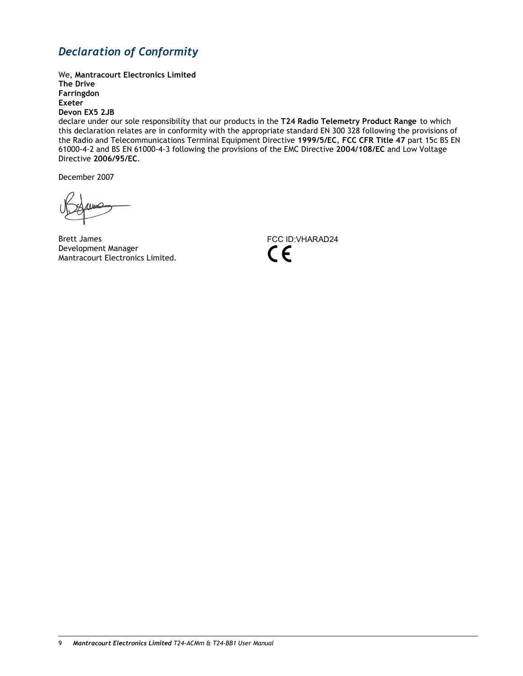## *Declaration of Conformity*

We, **Mantracourt Electronics Limited The Drive Farringdon Exeter Devon EX5 2JB** 

declare under our sole responsibility that our products in the **T24 Radio Telemetry Product Range** to which this declaration relates are in conformity with the appropriate standard EN 300 328 following the provisions of the Radio and Telecommunications Terminal Equipment Directive **1999/5/EC**, **FCC CFR Title 47** part 15c BS EN 61000-4-2 and BS EN 61000-4-3 following the provisions of the EMC Directive **2004/108/EC** and Low Voltage Directive **2006/95/EC**.

December 2007

Brett James Development Manager Mantracourt Electronics Limited.

![](_page_9_Picture_6.jpeg)